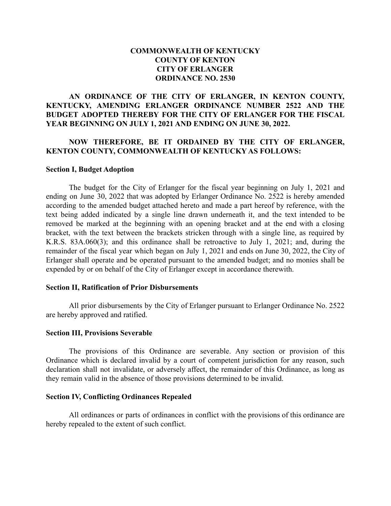## **COMMONWEALTH OF KENTUCKY COUNTY OF KENTON CITY OF ERLANGER ORDINANCE NO. 2530**

## **AN ORDINANCE OF THE CITY OF ERLANGER, IN KENTON COUNTY, KENTUCKY, AMENDING ERLANGER ORDINANCE NUMBER 2522 AND THE BUDGET ADOPTED THEREBY FOR THE CITY OF ERLANGER FOR THE FISCAL YEAR BEGINNING ON JULY 1, 2021 AND ENDING ON JUNE 30, 2022.**

### **NOW THEREFORE, BE IT ORDAINED BY THE CITY OF ERLANGER, KENTON COUNTY, COMMONWEALTH OF KENTUCKY AS FOLLOWS:**

#### **Section I, Budget Adoption**

The budget for the City of Erlanger for the fiscal year beginning on July 1, 2021 and ending on June 30, 2022 that was adopted by Erlanger Ordinance No. 2522 is hereby amended according to the amended budget attached hereto and made a part hereof by reference, with the text being added indicated by a single line drawn underneath it, and the text intended to be removed be marked at the beginning with an opening bracket and at the end with a closing bracket, with the text between the brackets stricken through with a single line, as required by K.R.S. 83A.060(3); and this ordinance shall be retroactive to July 1, 2021; and, during the remainder of the fiscal year which began on July 1, 2021 and ends on June 30, 2022, the City of Erlanger shall operate and be operated pursuant to the amended budget; and no monies shall be expended by or on behalf of the City of Erlanger except in accordance therewith.

#### **Section II, Ratification of Prior Disbursements**

All prior disbursements by the City of Erlanger pursuant to Erlanger Ordinance No. 2522 are hereby approved and ratified.

#### **Section III, Provisions Severable**

The provisions of this Ordinance are severable. Any section or provision of this Ordinance which is declared invalid by a court of competent jurisdiction for any reason, such declaration shall not invalidate, or adversely affect, the remainder of this Ordinance, as long as they remain valid in the absence of those provisions determined to be invalid.

#### **Section IV, Conflicting Ordinances Repealed**

All ordinances or parts of ordinances in conflict with the provisions of this ordinance are hereby repealed to the extent of such conflict.